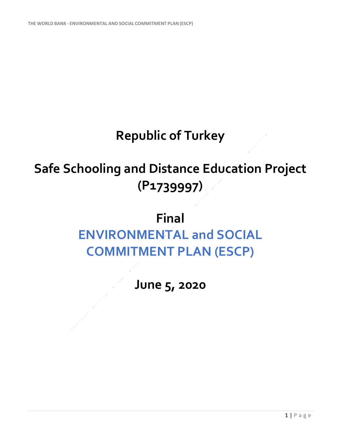## **Republic of Turkey**

## **Safe Schooling and Distance Education Project (P1739997)**

## **Final ENVIRONMENTAL and SOCIAL COMMITMENT PLAN (ESCP)**

**June 5, 2020**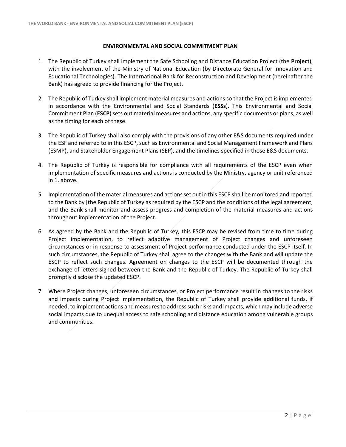## **ENVIRONMENTAL AND SOCIAL COMMITMENT PLAN**

- 1. The Republic of Turkey shall implement the Safe Schooling and Distance Education Project (the **Project**), with the involvement of the Ministry of National Education (by Directorate General for Innovation and Educational Technologies). The International Bank for Reconstruction and Development (hereinafter the Bank) has agreed to provide financing for the Project.
- 2. The Republic of Turkey shall implement material measures and actions so that the Project is implemented in accordance with the Environmental and Social Standards (**ESSs**). This Environmental and Social Commitment Plan (**ESCP**) sets out material measures and actions, any specific documents or plans, as well as the timing for each of these.
- 3. The Republic of Turkey shall also comply with the provisions of any other E&S documents required under the ESF and referred to in this ESCP, such as Environmental and Social Management Framework and Plans (ESMP), and Stakeholder Engagement Plans (SEP), and the timelines specified in those E&S documents.
- 4. The Republic of Turkey is responsible for compliance with all requirements of the ESCP even when implementation of specific measures and actions is conducted by the Ministry, agency or unit referenced in 1. above.
- 5. Implementation of the material measures and actions set out in this ESCP shall be monitored and reported to the Bank by [the Republic of Turkey as required by the ESCP and the conditions of the legal agreement, and the Bank shall monitor and assess progress and completion of the material measures and actions throughout implementation of the Project.
- 6. As agreed by the Bank and the Republic of Turkey*,* this ESCP may be revised from time to time during Project implementation, to reflect adaptive management of Project changes and unforeseen circumstances or in response to assessment of Project performance conducted under the ESCP itself. In such circumstances, the Republic of Turkey shall agree to the changes with the Bank and will update the ESCP to reflect such changes. Agreement on changes to the ESCP will be documented through the exchange of letters signed between the Bank and the Republic of Turkey. The Republic of Turkey shall promptly disclose the updated ESCP.
- 7. Where Project changes, unforeseen circumstances, or Project performance result in changes to the risks and impacts during Project implementation, the Republic of Turkey shall provide additional funds, if needed, to implement actions and measures to address such risks and impacts, which may include adverse social impacts due to unequal access to safe schooling and distance education among vulnerable groups and communities.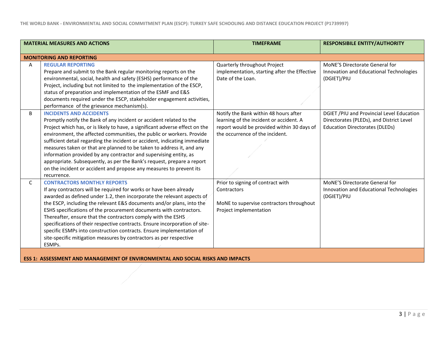| <b>MATERIAL MEASURES AND ACTIONS</b>                                                                                                                                                                                                                                                                                                                                                                                                                                                                                                                                                                                                                            | <b>TIMEFRAME</b>                                                                                                                                                  | <b>RESPONSIBILE ENTITY/AUTHORITY</b>                                                                                           |
|-----------------------------------------------------------------------------------------------------------------------------------------------------------------------------------------------------------------------------------------------------------------------------------------------------------------------------------------------------------------------------------------------------------------------------------------------------------------------------------------------------------------------------------------------------------------------------------------------------------------------------------------------------------------|-------------------------------------------------------------------------------------------------------------------------------------------------------------------|--------------------------------------------------------------------------------------------------------------------------------|
| <b>MONITORING AND REPORTING</b>                                                                                                                                                                                                                                                                                                                                                                                                                                                                                                                                                                                                                                 |                                                                                                                                                                   |                                                                                                                                |
| <b>REGULAR REPORTING</b><br>Α<br>Prepare and submit to the Bank regular monitoring reports on the<br>environmental, social, health and safety (ESHS) performance of the<br>Project, including but not limited to the implementation of the ESCP,<br>status of preparation and implementation of the ESMF and E&S<br>documents required under the ESCP, stakeholder engagement activities,<br>performance of the grievance mechanism(s).                                                                                                                                                                                                                         | Quarterly throughout Project<br>implementation, starting after the Effective<br>Date of the Loan.                                                                 | MoNE'S Directorate General for<br>Innovation and Educational Technologies<br>(DGIET)/PIU                                       |
| <b>INCIDENTS AND ACCIDENTS</b><br>B<br>Promptly notify the Bank of any incident or accident related to the<br>Project which has, or is likely to have, a significant adverse effect on the<br>environment, the affected communities, the public or workers. Provide<br>sufficient detail regarding the incident or accident, indicating immediate<br>measures taken or that are planned to be taken to address it, and any<br>information provided by any contractor and supervising entity, as<br>appropriate. Subsequently, as per the Bank's request, prepare a report<br>on the incident or accident and propose any measures to prevent its<br>recurrence. | Notify the Bank within 48 hours after<br>learning of the incident or accident. A<br>report would be provided within 30 days of<br>the occurrence of the incident. | DGIET /PIU and Provincial Level Education<br>Directorates (PLEDs), and District Level<br><b>Education Directorates (DLEDs)</b> |
| $\mathsf{C}$<br><b>CONTRACTORS MONTHLY REPORTS</b><br>If any contractors will be required for works or have been already<br>awarded as defined under 1.2, then incorporate the relevant aspects of<br>the ESCP, including the relevant E&S documents and/or plans, into the<br>ESHS specifications of the procurement documents with contractors.<br>Thereafter, ensure that the contractors comply with the ESHS<br>specifications of their respective contracts. Ensure incorporation of site-<br>specific ESMPs into construction contracts. Ensure implementation of<br>site-specific mitigation measures by contractors as per respective<br>ESMPs.        | Prior to signing of contract with<br>Contractors<br>MoNE to supervise contractors throughout<br>Project implementation                                            | MoNE'S Directorate General for<br>Innovation and Educational Technologies<br>(DGIET)/PIU                                       |

**ESS 1: ASSESSMENT AND MANAGEMENT OF ENVIRONMENTAL AND SOCIAL RISKS AND IMPACTS**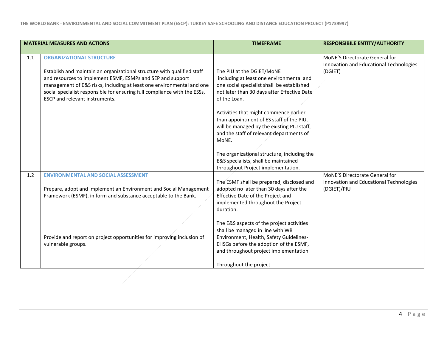|     | <b>MATERIAL MEASURES AND ACTIONS</b>                                                                                                                                                                                                                                                                                                                             | <b>TIMEFRAME</b>                                                                                                                                                                                                                                                                                                                                                                                                                                                                                         | <b>RESPONSIBILE ENTITY/AUTHORITY</b>                                                     |
|-----|------------------------------------------------------------------------------------------------------------------------------------------------------------------------------------------------------------------------------------------------------------------------------------------------------------------------------------------------------------------|----------------------------------------------------------------------------------------------------------------------------------------------------------------------------------------------------------------------------------------------------------------------------------------------------------------------------------------------------------------------------------------------------------------------------------------------------------------------------------------------------------|------------------------------------------------------------------------------------------|
| 1.1 | <b>ORGANIZATIONAL STRUCTURE</b><br>Establish and maintain an organizational structure with qualified staff<br>and resources to implement ESMF, ESMPs and SEP and support<br>management of E&S risks, including at least one environmental and one<br>social specialist responsible for ensuring full compliance with the ESSs,<br>ESCP and relevant instruments. | The PIU at the DGIET/MoNE<br>including at least one environmental and<br>one social specialist shall be established<br>not later than 30 days after Effective Date<br>of the Loan.<br>Activities that might commence earlier<br>than appointment of ES staff of the PIU,<br>will be managed by the existing PIU staff,<br>and the staff of relevant departments of<br>MoNE.<br>The organizational structure, including the<br>E&S specialists, shall be maintained<br>throughout Project implementation. | MoNE'S Directorate General for<br>Innovation and Educational Technologies<br>(DGIET)     |
| 1.2 | <b>ENVIRONMENTAL AND SOCIAL ASSESSMENT</b><br>Prepare, adopt and implement an Environment and Social Management<br>Framework (ESMF), in form and substance acceptable to the Bank.<br>Provide and report on project opportunities for improving inclusion of<br>vulnerable groups.                                                                               | The ESMF shall be prepared, disclosed and<br>adopted no later than 30 days after the<br>Effective Date of the Project and<br>implemented throughout the Project<br>duration.<br>The E&S aspects of the project activities<br>shall be managed in line with WB<br>Environment, Health, Safety Guidelines-<br>EHSGs before the adoption of the ESMF,<br>and throughout project implementation<br>Throughout the project                                                                                    | MoNE'S Directorate General for<br>Innovation and Educational Technologies<br>(DGIET)/PIU |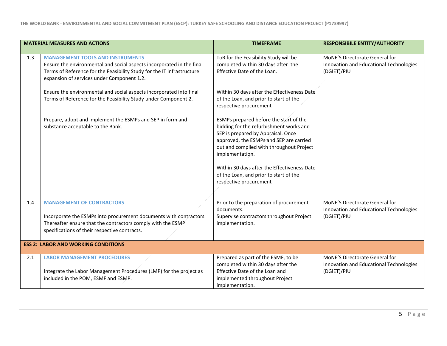|     | <b>MATERIAL MEASURES AND ACTIONS</b>                                                                                                                                                                                                     | <b>TIMEFRAME</b>                                                                                                                                                                                                                  | <b>RESPONSIBILE ENTITY/AUTHORITY</b>                                                            |
|-----|------------------------------------------------------------------------------------------------------------------------------------------------------------------------------------------------------------------------------------------|-----------------------------------------------------------------------------------------------------------------------------------------------------------------------------------------------------------------------------------|-------------------------------------------------------------------------------------------------|
| 1.3 | <b>MANAGEMENT TOOLS AND INSTRUMENTS</b><br>Ensure the environmental and social aspects incorporated in the final<br>Terms of Reference for the Feasibility Study for the IT infrastructure<br>expansion of services under Component 1.2. | ToR for the Feasibility Study will be<br>completed within 30 days after the<br>Effective Date of the Loan.                                                                                                                        | <b>MoNE'S Directorate General for</b><br>Innovation and Educational Technologies<br>(DGIET)/PIU |
|     | Ensure the environmental and social aspects incorporated into final<br>Terms of Reference for the Feasibility Study under Component 2.                                                                                                   | Within 30 days after the Effectiveness Date<br>of the Loan, and prior to start of the<br>respective procurement                                                                                                                   |                                                                                                 |
|     | Prepare, adopt and implement the ESMPs and SEP in form and<br>substance acceptable to the Bank.                                                                                                                                          | ESMPs prepared before the start of the<br>bidding for the refurbishment works and<br>SEP is prepared by Appraisal. Once<br>approved, the ESMPs and SEP are carried<br>out and complied with throughout Project<br>implementation. |                                                                                                 |
|     |                                                                                                                                                                                                                                          | Within 30 days after the Effectiveness Date<br>of the Loan, and prior to start of the<br>respective procurement                                                                                                                   |                                                                                                 |
| 1.4 | <b>MANAGEMENT OF CONTRACTORS</b><br>Incorporate the ESMPs into procurement documents with contractors.<br>Thereafter ensure that the contractors comply with the ESMP<br>specifications of their respective contracts.                   | Prior to the preparation of procurement<br>documents.<br>Supervise contractors throughout Project<br>implementation.                                                                                                              | MoNE'S Directorate General for<br>Innovation and Educational Technologies<br>(DGIET)/PIU        |
|     | <b>ESS 2: LABOR AND WORKING CONDITIONS</b>                                                                                                                                                                                               |                                                                                                                                                                                                                                   |                                                                                                 |
| 2.1 | <b>LABOR MANAGEMENT PROCEDURES</b><br>Integrate the Labor Management Procedures (LMP) for the project as<br>included in the POM, ESMF and ESMP.                                                                                          | Prepared as part of the ESMF, to be<br>completed within 30 days after the<br>Effective Date of the Loan and<br>implemented throughout Project<br>implementation.                                                                  | <b>MoNE'S Directorate General for</b><br>Innovation and Educational Technologies<br>(DGIET)/PIU |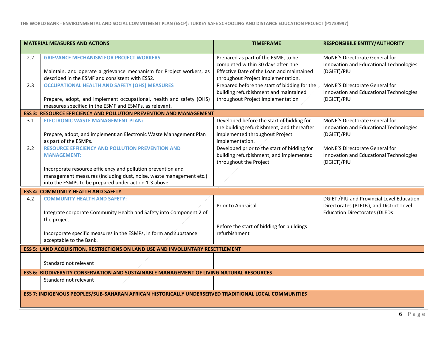|     | <b>MATERIAL MEASURES AND ACTIONS</b>                                                                                        | <b>TIMEFRAME</b>                             | <b>RESPONSIBILE ENTITY/AUTHORITY</b>                                             |
|-----|-----------------------------------------------------------------------------------------------------------------------------|----------------------------------------------|----------------------------------------------------------------------------------|
| 2.2 | <b>GRIEVANCE MECHANISM FOR PROJECT WORKERS</b>                                                                              | Prepared as part of the ESMF, to be          | MoNE'S Directorate General for                                                   |
|     |                                                                                                                             | completed within 30 days after the           | Innovation and Educational Technologies                                          |
|     | Maintain, and operate a grievance mechanism for Project workers, as                                                         | Effective Date of the Loan and maintained    | (DGIET)/PIU                                                                      |
|     | described in the ESMF and consistent with ESS2.                                                                             | throughout Project implementation.           |                                                                                  |
| 2.3 | <b>OCCUPATIONAL HEALTH AND SAFETY (OHS) MEASURES</b>                                                                        | Prepared before the start of bidding for the | MoNE'S Directorate General for                                                   |
|     |                                                                                                                             | building refurbishment and maintained        | Innovation and Educational Technologies                                          |
|     | Prepare, adopt, and implement occupational, health and safety (OHS)                                                         | throughout Project implementation            | (DGIET)/PIU                                                                      |
|     | measures specified in the ESMF and ESMPs, as relevant.                                                                      |                                              |                                                                                  |
|     | <b>ESS 3: RESOURCE EFFICIENCY AND POLLUTION PREVENTION AND MANAGEMENT</b>                                                   |                                              |                                                                                  |
| 3.1 | <b>ELECTRONIC WASTE MANAGEMENT PLAN:</b>                                                                                    | Developed before the start of bidding for    | MoNE'S Directorate General for                                                   |
|     |                                                                                                                             | the building refurbishment, and thereafter   | Innovation and Educational Technologies                                          |
|     | Prepare, adopt, and implement an Electronic Waste Management Plan                                                           | implemented throughout Project               | (DGIET)/PIU                                                                      |
|     | as part of the ESMPs.                                                                                                       | implementation.                              |                                                                                  |
| 3.2 | RESOURCE EFFICIENCY AND POLLUTION PREVENTION AND                                                                            | Developed prior to the start of bidding for  | <b>MoNE'S Directorate General for</b>                                            |
|     | <b>MANAGEMENT:</b>                                                                                                          | building refurbishment, and implemented      | Innovation and Educational Technologies                                          |
|     |                                                                                                                             | throughout the Project                       | (DGIET)/PIU                                                                      |
|     | Incorporate resource efficiency and pollution prevention and                                                                |                                              |                                                                                  |
|     | management measures (including dust, noise, waste management etc.)<br>into the ESMPs to be prepared under action 1.3 above. |                                              |                                                                                  |
|     |                                                                                                                             |                                              |                                                                                  |
|     | <b>ESS 4: COMMUNITY HEALTH AND SAFETY</b>                                                                                   |                                              |                                                                                  |
| 4.2 | <b>COMMUNITY HEALTH AND SAFETY:</b>                                                                                         |                                              | DGIET / PIU and Provincial Level Education                                       |
|     |                                                                                                                             | Prior to Appraisal                           | Directorates (PLEDs), and District Level<br><b>Education Directorates (DLEDs</b> |
|     | Integrate corporate Community Health and Safety into Component 2 of<br>the project                                          |                                              |                                                                                  |
|     |                                                                                                                             | Before the start of bidding for buildings    |                                                                                  |
|     | Incorporate specific measures in the ESMPs, in form and substance                                                           | refurbishment                                |                                                                                  |
|     | acceptable to the Bank.                                                                                                     |                                              |                                                                                  |
|     | ESS 5: LAND ACQUISITION, RESTRICTIONS ON LAND USE AND INVOLUNTARY RESETTLEMENT                                              |                                              |                                                                                  |
|     |                                                                                                                             |                                              |                                                                                  |
|     | Standard not relevant                                                                                                       |                                              |                                                                                  |
|     |                                                                                                                             |                                              |                                                                                  |
|     | <b>ESS 6: BIODIVERSITY CONSERVATION AND SUSTAINABLE MANAGEMENT OF LIVING NATURAL RESOURCES</b>                              |                                              |                                                                                  |
|     | Standard not relevant                                                                                                       |                                              |                                                                                  |
|     | ESS 7: INDIGENOUS PEOPLES/SUB-SAHARAN AFRICAN HISTORICALLY UNDERSERVED TRADITIONAL LOCAL COMMUNITIES                        |                                              |                                                                                  |
|     |                                                                                                                             |                                              |                                                                                  |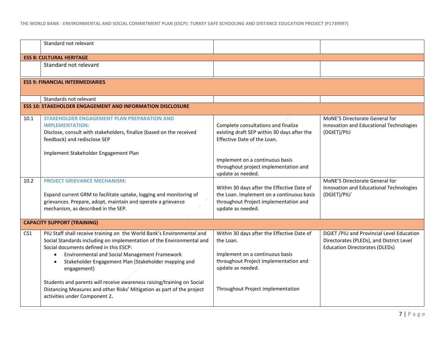|                 | Standard not relevant                                                                                                                                                                                                                                                                                                                                                                                                                                                                                                            |                                                                                                                                                                                               |                                                                                                                                |  |
|-----------------|----------------------------------------------------------------------------------------------------------------------------------------------------------------------------------------------------------------------------------------------------------------------------------------------------------------------------------------------------------------------------------------------------------------------------------------------------------------------------------------------------------------------------------|-----------------------------------------------------------------------------------------------------------------------------------------------------------------------------------------------|--------------------------------------------------------------------------------------------------------------------------------|--|
|                 | <b>ESS 8: CULTURAL HERITAGE</b>                                                                                                                                                                                                                                                                                                                                                                                                                                                                                                  |                                                                                                                                                                                               |                                                                                                                                |  |
|                 | Standard not relevant                                                                                                                                                                                                                                                                                                                                                                                                                                                                                                            |                                                                                                                                                                                               |                                                                                                                                |  |
|                 | <b>ESS 9: FINANCIAL INTERMEDIARIES</b>                                                                                                                                                                                                                                                                                                                                                                                                                                                                                           |                                                                                                                                                                                               |                                                                                                                                |  |
|                 | Standards not relevant                                                                                                                                                                                                                                                                                                                                                                                                                                                                                                           |                                                                                                                                                                                               |                                                                                                                                |  |
|                 | <b>ESS 10: STAKEHOLDER ENGAGEMENT AND INFORMATION DISCLOSURE</b>                                                                                                                                                                                                                                                                                                                                                                                                                                                                 |                                                                                                                                                                                               |                                                                                                                                |  |
| 10.1            | STAKEHOLDER ENGAGEMENT PLAN PREPARATION AND<br><b>IMPLEMENTATION:</b><br>Disclose, consult with stakeholders, finalize (based on the received<br>feedback) and redisclose SEP<br>Implement Stakeholder Engagement Plan                                                                                                                                                                                                                                                                                                           | Complete consultations and finalize<br>existing draft SEP within 30 days after the<br>Effective Date of the Loan.<br>Implement on a continuous basis<br>throughout project implementation and | MoNE'S Directorate General for<br>Innovation and Educational Technologies<br>(DGIET)/PIU                                       |  |
| 10.2            | <b>PROJECT GRIEVANCE MECHANISM:</b><br>Expand current GRM to facilitate uptake, logging and monitoring of<br>grievances. Prepare, adopt, maintain and operate a grievance<br>mechanism, as described in the SEP.                                                                                                                                                                                                                                                                                                                 | update as needed.<br>Within 30 days after the Effective Date of<br>the Loan. Implement on a continuous basis<br>throughout Project implementation and<br>update as needed.                    | MoNE'S Directorate General for<br>Innovation and Educational Technologies<br>(DGIET)/PIU'                                      |  |
|                 | <b>CAPACITY SUPPORT (TRAINING)</b>                                                                                                                                                                                                                                                                                                                                                                                                                                                                                               |                                                                                                                                                                                               |                                                                                                                                |  |
| CS <sub>1</sub> | PIU Staff shall receive training on the World Bank's Environmental and<br>Social Standards including on implementation of the Environmental and<br>Social documents defined in this ESCP:<br>Environmental and Social Management Framework<br>$\bullet$<br>Stakeholder Engagement Plan (Stakeholder mapping and<br>$\bullet$<br>engagement)<br>Students and parents will receive awareness raising/training on Social<br>Distancing Measures and other Risks' Mitigation as part of the project<br>activities under Component 2. | Within 30 days after the Effective Date of<br>the Loan.<br>Implement on a continuous basis<br>throughout Project implementation and<br>update as needed.<br>Throughout Project implementation | DGIET /PIU and Provincial Level Education<br>Directorates (PLEDs), and District Level<br><b>Education Directorates (DLEDs)</b> |  |